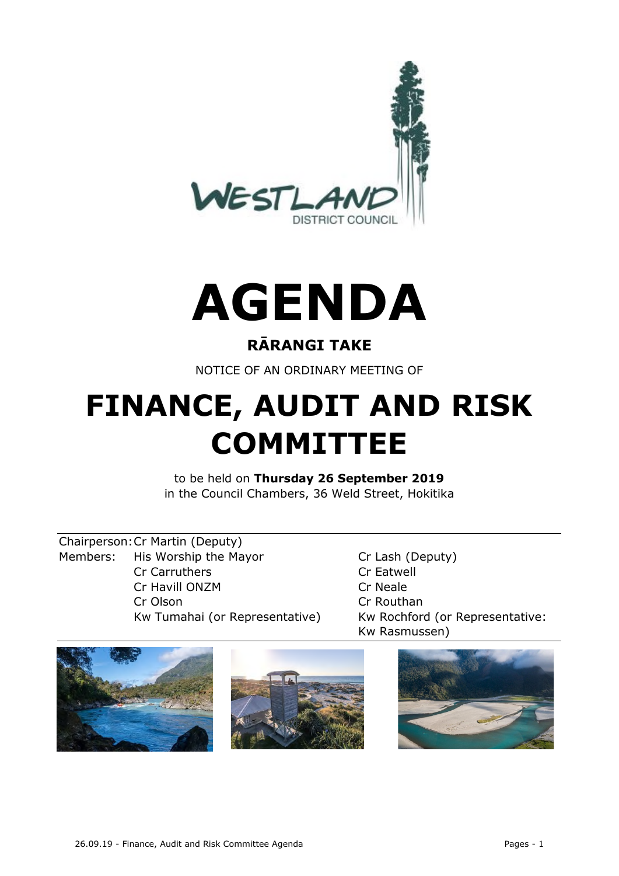



## **RĀRANGI TAKE**

NOTICE OF AN ORDINARY MEETING OF

# **FINANCE, AUDIT AND RISK COMMITTEE**

to be held on **Thursday 26 September 2019** in the Council Chambers, 36 Weld Street, Hokitika

Chairperson:Cr Martin (Deputy) Members: His Worship the Mayor Cr Lash (Deputy) Cr Carruthers Cr Eatwell Cr Havill ONZM Cr Neale Cr Olson Cr Routhan

Kw Tumahai (or Representative) Kw Rochford (or Representative: Kw Rasmussen)

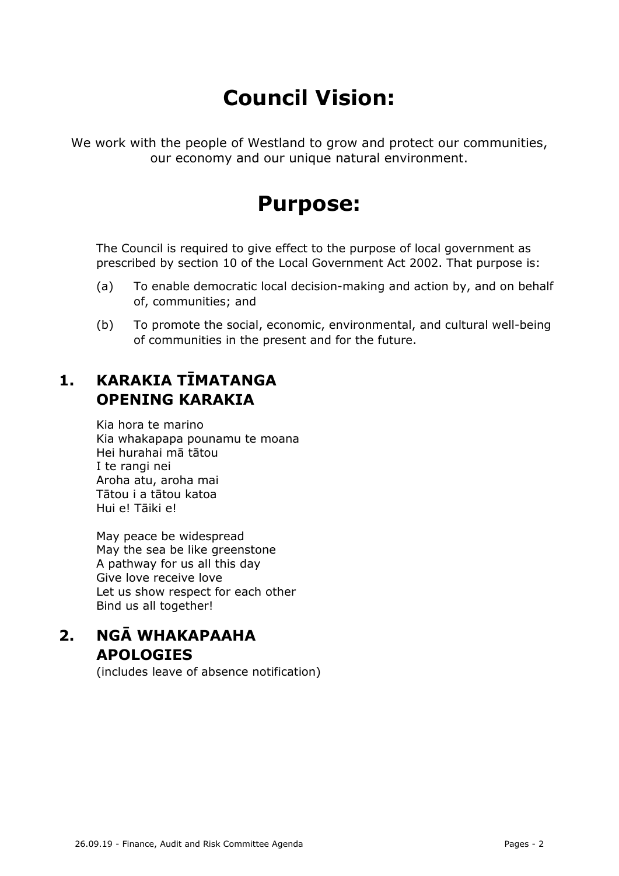## **Council Vision:**

We work with the people of Westland to grow and protect our communities, our economy and our unique natural environment.

## **Purpose:**

The Council is required to give effect to the purpose of local government as prescribed by section 10 of the Local Government Act 2002. That purpose is:

- (a) To enable democratic local decision-making and action by, and on behalf of, communities; and
- (b) To promote the social, economic, environmental, and cultural well-being of communities in the present and for the future.

## **1. KARAKIA TĪMATANGA OPENING KARAKIA**

Kia hora te marino Kia whakapapa pounamu te moana Hei hurahai mā tātou I te rangi nei Aroha atu, aroha mai Tātou i a tātou katoa Hui e! Tāiki e!

May peace be widespread May the sea be like greenstone A pathway for us all this day Give love receive love Let us show respect for each other Bind us all together!

### **2. NGĀ WHAKAPAAHA APOLOGIES**

(includes leave of absence notification)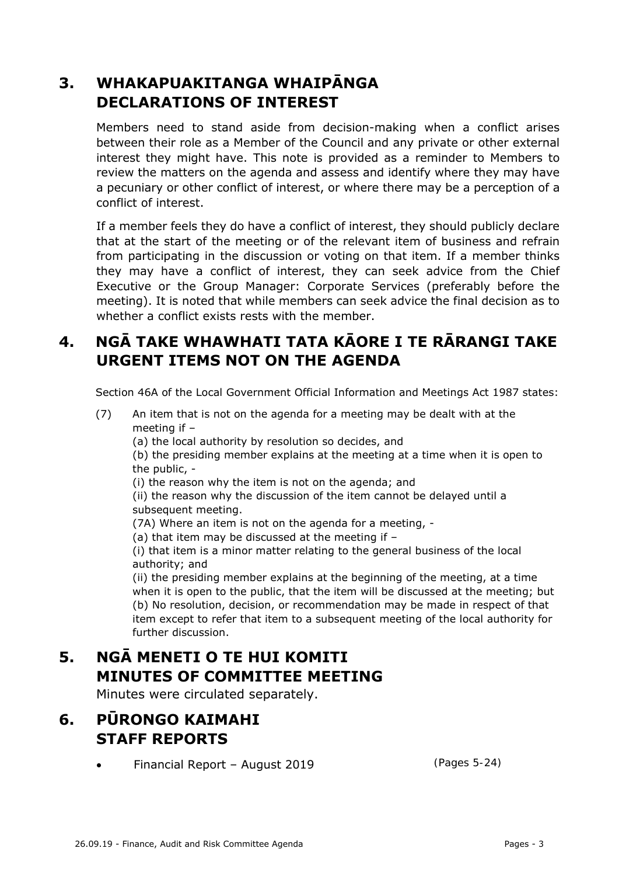## **3. WHAKAPUAKITANGA WHAIPĀNGA DECLARATIONS OF INTEREST**

Members need to stand aside from decision-making when a conflict arises between their role as a Member of the Council and any private or other external interest they might have. This note is provided as a reminder to Members to review the matters on the agenda and assess and identify where they may have a pecuniary or other conflict of interest, or where there may be a perception of a conflict of interest.

If a member feels they do have a conflict of interest, they should publicly declare that at the start of the meeting or of the relevant item of business and refrain from participating in the discussion or voting on that item. If a member thinks they may have a conflict of interest, they can seek advice from the Chief Executive or the Group Manager: Corporate Services (preferably before the meeting). It is noted that while members can seek advice the final decision as to whether a conflict exists rests with the member.

## **4. NGĀ TAKE WHAWHATI TATA KĀORE I TE RĀRANGI TAKE URGENT ITEMS NOT ON THE AGENDA**

Section 46A of the Local Government Official Information and Meetings Act 1987 states:

- (7) An item that is not on the agenda for a meeting may be dealt with at the meeting if –
	- (a) the local authority by resolution so decides, and

(b) the presiding member explains at the meeting at a time when it is open to the public, -

(i) the reason why the item is not on the agenda; and

(ii) the reason why the discussion of the item cannot be delayed until a subsequent meeting.

- (7A) Where an item is not on the agenda for a meeting, -
- (a) that item may be discussed at the meeting if –

(i) that item is a minor matter relating to the general business of the local authority; and

(ii) the presiding member explains at the beginning of the meeting, at a time when it is open to the public, that the item will be discussed at the meeting; but (b) No resolution, decision, or recommendation may be made in respect of that item except to refer that item to a subsequent meeting of the local authority for further discussion.

## **5. NGĀ MENETI O TE HUI KOMITI MINUTES OF COMMITTEE MEETING**

Minutes were circulated separately.

## **6. PŪRONGO KAIMAHI STAFF REPORTS**

Financial Report – August 2019

(Pages 5-24)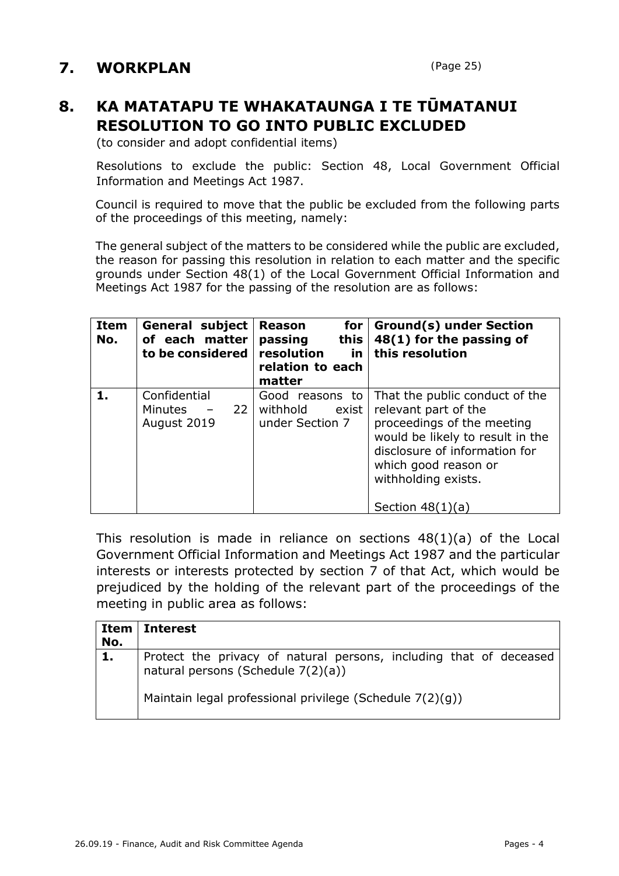## **7. WORKPLAN**

## **8. KA MATATAPU TE WHAKATAUNGA I TE TŪMATANUI RESOLUTION TO GO INTO PUBLIC EXCLUDED**

(to consider and adopt confidential items)

Resolutions to exclude the public: Section 48, Local Government Official Information and Meetings Act 1987.

Council is required to move that the public be excluded from the following parts of the proceedings of this meeting, namely:

The general subject of the matters to be considered while the public are excluded, the reason for passing this resolution in relation to each matter and the specific grounds under Section 48(1) of the Local Government Official Information and Meetings Act 1987 for the passing of the resolution are as follows:

| <b>Item</b><br>No. | <b>General subject</b><br>of each matter<br>to be considered     | <b>Reason</b><br>for<br>passing<br>this<br>resolution<br><u>in</u><br>relation to each<br>matter | <b>Ground(s) under Section</b><br>48(1) for the passing of<br>this resolution                                                                                                                                                  |  |
|--------------------|------------------------------------------------------------------|--------------------------------------------------------------------------------------------------|--------------------------------------------------------------------------------------------------------------------------------------------------------------------------------------------------------------------------------|--|
| 1.                 | Confidential<br>22 <sub>1</sub><br><b>Minutes</b><br>August 2019 | Good reasons to<br>withhold<br>exist<br>under Section 7                                          | That the public conduct of the<br>relevant part of the<br>proceedings of the meeting<br>would be likely to result in the<br>disclosure of information for<br>which good reason or<br>withholding exists.<br>Section $48(1)(a)$ |  |

This resolution is made in reliance on sections 48(1)(a) of the Local Government Official Information and Meetings Act 1987 and the particular interests or interests protected by section 7 of that Act, which would be prejudiced by the holding of the relevant part of the proceedings of the meeting in public area as follows:

| Item<br>No. | l Interest                                                                                               |
|-------------|----------------------------------------------------------------------------------------------------------|
| 1.          | Protect the privacy of natural persons, including that of deceased<br>natural persons (Schedule 7(2)(a)) |
|             | Maintain legal professional privilege (Schedule 7(2)(g))                                                 |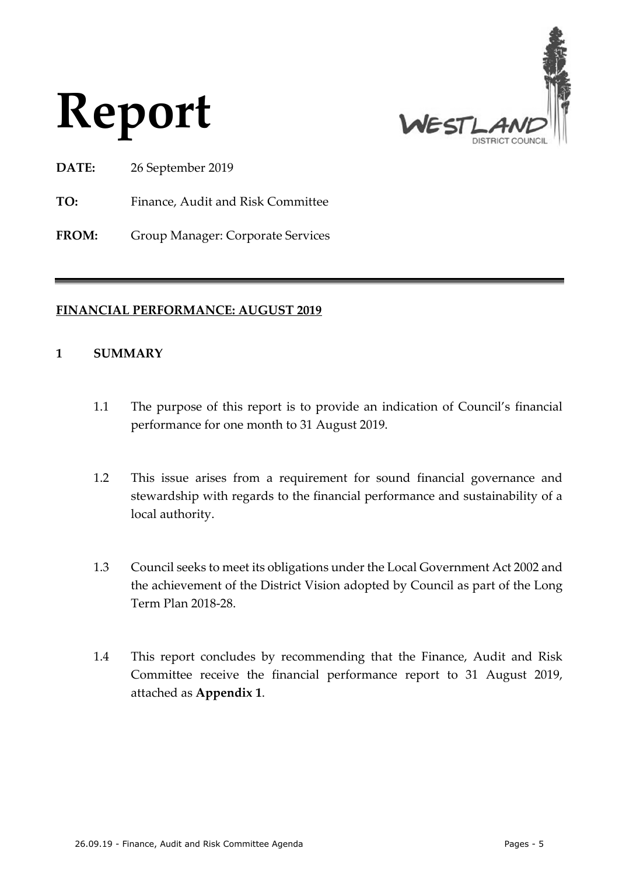



**DATE:** 26 September 2019

**TO:** Finance, Audit and Risk Committee

**FROM:** Group Manager: Corporate Services

#### **FINANCIAL PERFORMANCE: AUGUST 2019**

#### **1 SUMMARY**

- 1.1 The purpose of this report is to provide an indication of Council's financial performance for one month to 31 August 2019.
- 1.2 This issue arises from a requirement for sound financial governance and stewardship with regards to the financial performance and sustainability of a local authority.
- 1.3 Council seeks to meet its obligations under the Local Government Act 2002 and the achievement of the District Vision adopted by Council as part of the Long Term Plan 2018-28.
- 1.4 This report concludes by recommending that the Finance, Audit and Risk Committee receive the financial performance report to 31 August 2019, attached as **Appendix 1**.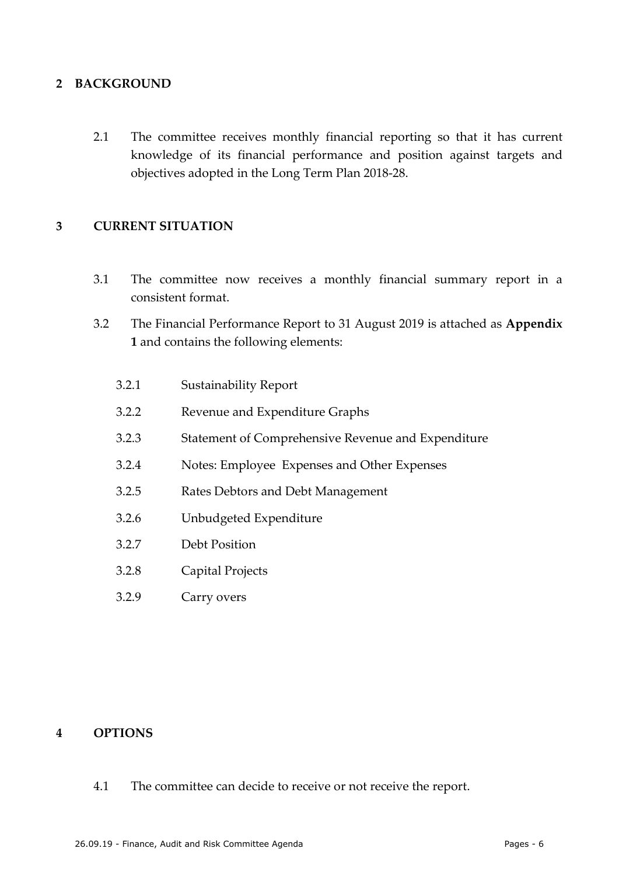#### **2 BACKGROUND**

2.1 The committee receives monthly financial reporting so that it has current knowledge of its financial performance and position against targets and objectives adopted in the Long Term Plan 2018-28.

#### **3 CURRENT SITUATION**

- 3.1 The committee now receives a monthly financial summary report in a consistent format.
- 3.2 The Financial Performance Report to 31 August 2019 is attached as **Appendix 1** and contains the following elements:
	- 3.2.1 Sustainability Report
	- 3.2.2 Revenue and Expenditure Graphs
	- 3.2.3 Statement of Comprehensive Revenue and Expenditure
	- 3.2.4 Notes: Employee Expenses and Other Expenses
	- 3.2.5 Rates Debtors and Debt Management
	- 3.2.6 Unbudgeted Expenditure
	- 3.2.7 Debt Position
	- 3.2.8 Capital Projects
	- 3.2.9 Carry overs

#### **4 OPTIONS**

4.1 The committee can decide to receive or not receive the report.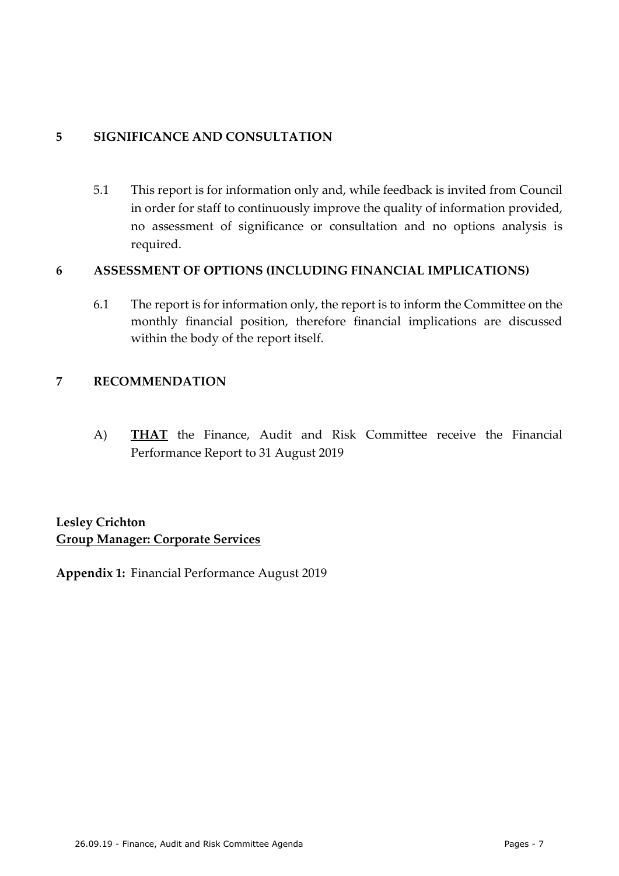#### **5 SIGNIFICANCE AND CONSULTATION**

5.1 This report is for information only and, while feedback is invited from Council in order for staff to continuously improve the quality of information provided, no assessment of significance or consultation and no options analysis is required.

#### **6 ASSESSMENT OF OPTIONS (INCLUDING FINANCIAL IMPLICATIONS)**

6.1 The report is for information only, the report is to inform the Committee on the monthly financial position, therefore financial implications are discussed within the body of the report itself.

#### **7 RECOMMENDATION**

A) **THAT** the Finance, Audit and Risk Committee receive the Financial Performance Report to 31 August 2019

**Lesley Crichton Group Manager: Corporate Services**

**Appendix 1:** Financial Performance August 2019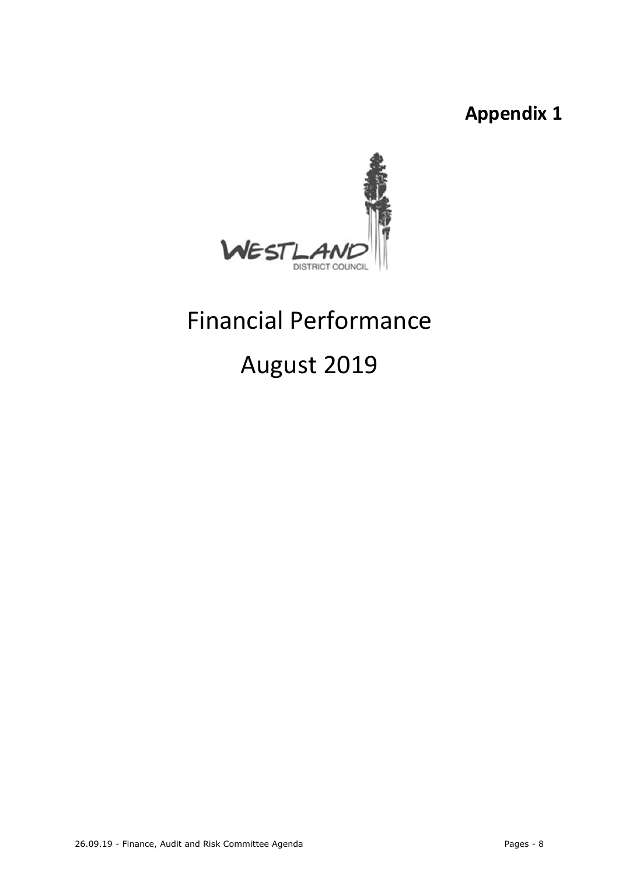**Appendix 1**



# Financial Performance

## August 2019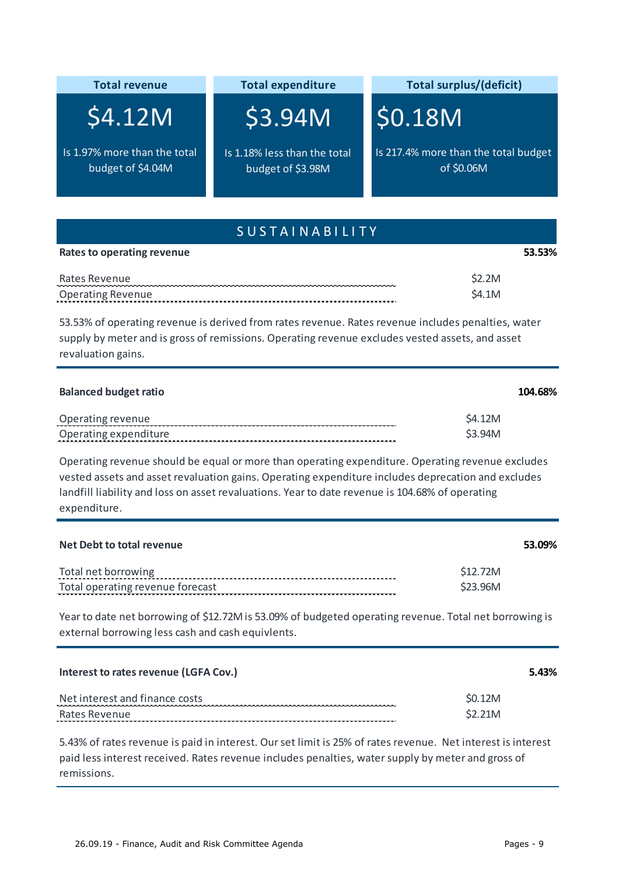| <b>Total revenue</b>                                                                                                  | <b>Total expenditure</b>                                                                          | <b>Total surplus/(deficit)</b>                                                                                                                                                                         |
|-----------------------------------------------------------------------------------------------------------------------|---------------------------------------------------------------------------------------------------|--------------------------------------------------------------------------------------------------------------------------------------------------------------------------------------------------------|
| \$4.12M                                                                                                               | \$3.94M                                                                                           | \$0.18M                                                                                                                                                                                                |
| Is 1.97% more than the total<br>budget of \$4.04M                                                                     | Is 1.18% less than the total<br>budget of \$3.98M                                                 | Is 217.4% more than the total budget<br>of \$0.06M                                                                                                                                                     |
|                                                                                                                       | <b>SUSTAINABILITY</b>                                                                             |                                                                                                                                                                                                        |
| <b>Rates to operating revenue</b>                                                                                     |                                                                                                   | 53.53%                                                                                                                                                                                                 |
| Rates Revenue<br><b>Operating Revenue</b>                                                                             |                                                                                                   | \$2.2M<br>\$4.1M                                                                                                                                                                                       |
| supply by meter and is gross of remissions. Operating revenue excludes vested assets, and asset<br>revaluation gains. |                                                                                                   | 53.53% of operating revenue is derived from rates revenue. Rates revenue includes penalties, water                                                                                                     |
| <b>Balanced budget ratio</b>                                                                                          |                                                                                                   | 104.68%                                                                                                                                                                                                |
| Operating revenue<br>Operating expenditure                                                                            |                                                                                                   | \$4.12M<br>\$3.94M                                                                                                                                                                                     |
| landfill liability and loss on asset revaluations. Year to date revenue is 104.68% of operating<br>expenditure.       |                                                                                                   | Operating revenue should be equal or more than operating expenditure. Operating revenue excludes<br>vested assets and asset revaluation gains. Operating expenditure includes deprecation and excludes |
| Net Debt to total revenue                                                                                             |                                                                                                   | 53.09%                                                                                                                                                                                                 |
| Total net borrowing<br>Total operating revenue forecast                                                               |                                                                                                   | \$12.72M<br>\$23.96M                                                                                                                                                                                   |
| external borrowing less cash and cash equivlents.                                                                     |                                                                                                   | Year to date net borrowing of \$12.72M is 53.09% of budgeted operating revenue. Total net borrowing is                                                                                                 |
| Interest to rates revenue (LGFA Cov.)                                                                                 |                                                                                                   | 5.43%                                                                                                                                                                                                  |
| Net interest and finance costs<br>Rates Revenue                                                                       |                                                                                                   | \$0.12M<br>\$2.21M                                                                                                                                                                                     |
| remissions.                                                                                                           | paid less interest received. Rates revenue includes penalties, water supply by meter and gross of | 5.43% of rates revenue is paid in interest. Our set limit is 25% of rates revenue. Net interest is interest                                                                                            |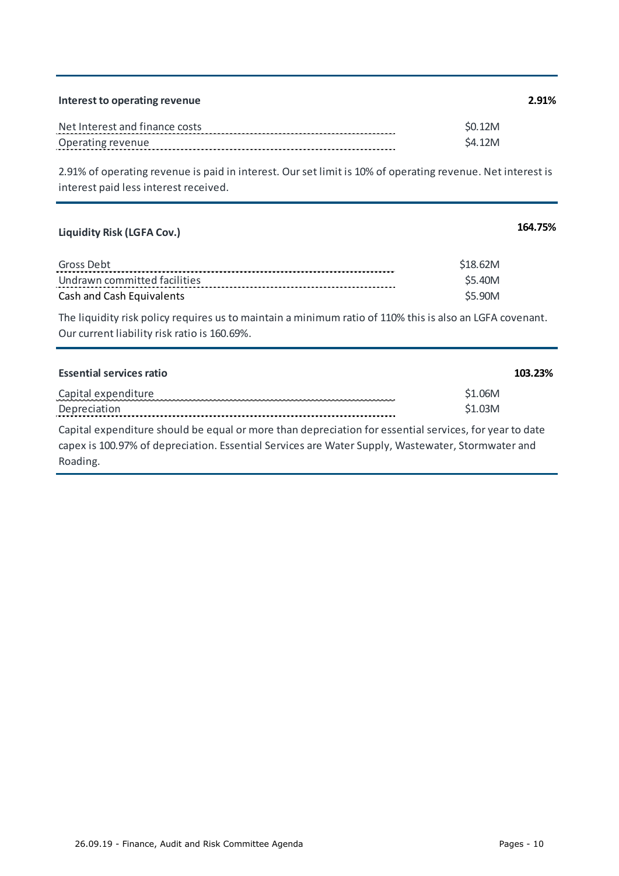| Interest to operating revenue  | 2.91%   |
|--------------------------------|---------|
| Net Interest and finance costs | S0.12M  |
| Operating revenue              | \$4.12M |

2.91% of operating revenue is paid in interest. Our set limit is 10% of operating revenue. Net interest is interest paid less interest received.

## **Liquidity Risk (LGFA Cov.) 164.75%**

| Gross Debt                   |        |
|------------------------------|--------|
| Undrawn committed facilities | S5.40M |
| Cash and Cash Equivalents    | S5.90M |

The liquidity risk policy requires us to maintain a minimum ratio of 110% this is also an LGFA covenant. Our current liability risk ratio is 160.69%.

| <b>Essential services ratio</b> | 103.23% |
|---------------------------------|---------|
| Capital expenditure             | \$1.06M |
| Depreciation                    | \$1.03M |
|                                 |         |

Capital expenditure should be equal or more than depreciation for essential services, for year to date capex is 100.97% of depreciation. Essential Services are Water Supply, Wastewater, Stormwater and Roading.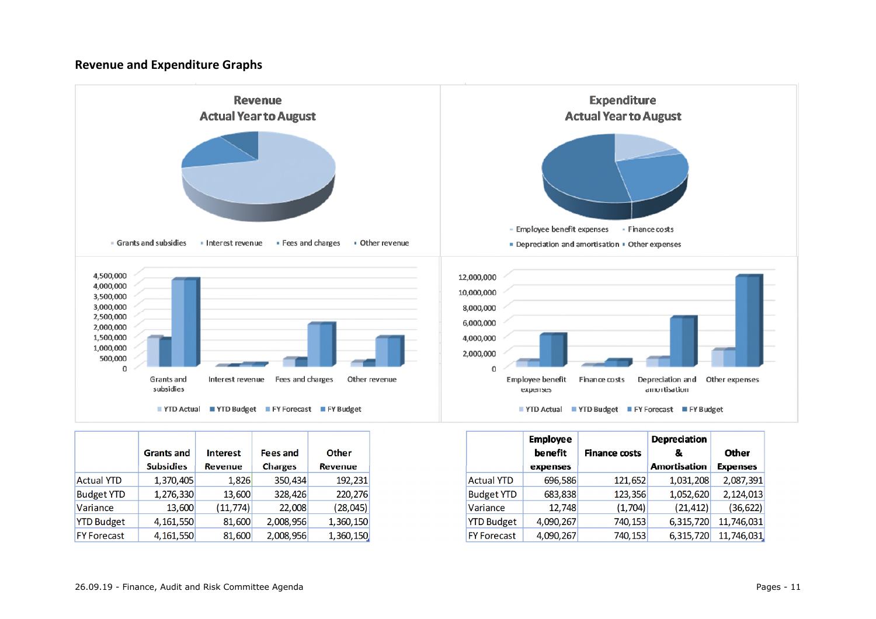#### **Revenue and Expenditure Graphs**



|                    | <b>Grants and</b> | <b>Interest</b> | <b>Fees and</b> | Other          |  |
|--------------------|-------------------|-----------------|-----------------|----------------|--|
|                    | <b>Subsidies</b>  | <b>Revenue</b>  | <b>Charges</b>  | <b>Revenue</b> |  |
| <b>Actual YTD</b>  | 1,370,405         | 1,826           | 350,434         | 192,231        |  |
| <b>Budget YTD</b>  | 1,276,330         | 13,600          | 328,426         | 220,276        |  |
| Variance           | 13,600            | (11, 774)       | 22,008          | (28, 045)      |  |
| <b>YTD Budget</b>  | 4, 161, 550       | 81,600          | 2,008,956       | 1,360,150      |  |
| <b>FY Forecast</b> | 4, 161, 550       | 81,600          | 2,008,956       | 1,360,150      |  |

|                    | <b>Employee</b> |                      | Depreciation        |                 |
|--------------------|-----------------|----------------------|---------------------|-----------------|
|                    | benefit         | <b>Finance costs</b> | &                   | Other           |
|                    | expenses        |                      | <b>Amortisation</b> | <b>Expenses</b> |
| <b>Actual YTD</b>  | 696,586         | 121,652              | 1,031,208           | 2,087,391       |
| <b>Budget YTD</b>  | 683,838         | 123,356              | 1,052,620           | 2,124,013       |
| Variance           | 12,748          | (1,704)              | (21, 412)           | (36, 622)       |
| <b>YTD Budget</b>  | 4,090,267       | 740,153              | 6,315,720           | 11,746,031      |
| <b>FY Forecast</b> | 4,090,267       | 740,153              | 6,315,720           | 11,746,031      |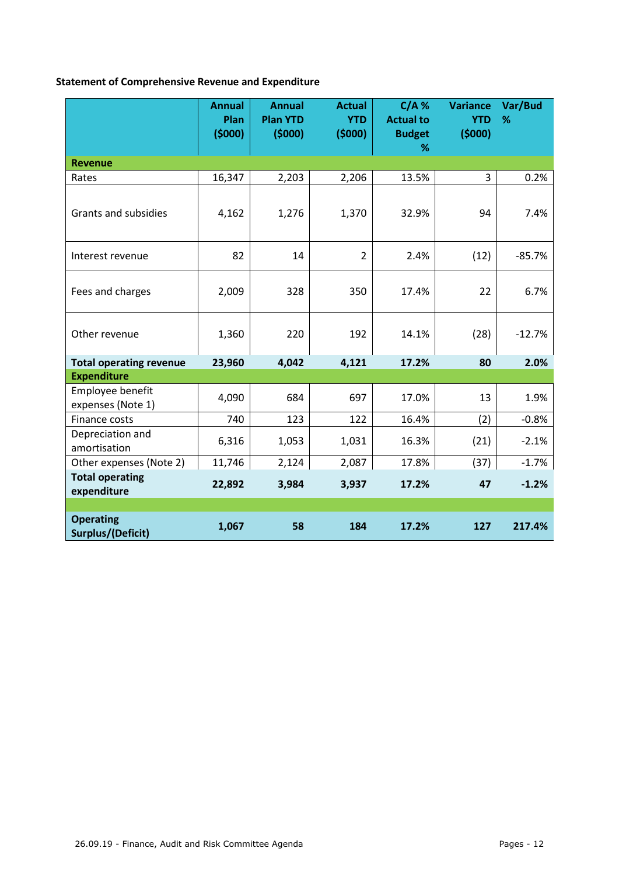#### **Statement of Comprehensive Revenue and Expenditure**

|                                       | <b>Annual</b><br>Plan<br>(5000) | <b>Annual</b><br><b>Plan YTD</b><br>(5000) | <b>Actual</b><br><b>YTD</b><br>(5000) | $C/A$ %<br><b>Actual to</b><br><b>Budget</b><br>℅ | <b>Variance</b><br><b>YTD</b><br>(5000) | Var/Bud<br>% |
|---------------------------------------|---------------------------------|--------------------------------------------|---------------------------------------|---------------------------------------------------|-----------------------------------------|--------------|
| <b>Revenue</b>                        |                                 |                                            |                                       |                                                   |                                         |              |
| Rates                                 | 16,347                          | 2,203                                      | 2,206                                 | 13.5%                                             | 3                                       | 0.2%         |
| <b>Grants and subsidies</b>           | 4,162                           | 1,276                                      | 1,370                                 | 32.9%                                             | 94                                      | 7.4%         |
| Interest revenue                      | 82                              | 14                                         | $\overline{2}$                        | 2.4%                                              | (12)                                    | $-85.7%$     |
| Fees and charges                      | 2,009                           | 328                                        | 350                                   | 17.4%                                             | 22                                      | 6.7%         |
| Other revenue                         | 1,360                           | 220                                        | 192                                   | 14.1%                                             | (28)                                    | $-12.7%$     |
| <b>Total operating revenue</b>        | 23,960                          | 4,042                                      | 4,121                                 | 17.2%                                             | 80                                      | 2.0%         |
| <b>Expenditure</b>                    |                                 |                                            |                                       |                                                   |                                         |              |
| Employee benefit<br>expenses (Note 1) | 4,090                           | 684                                        | 697                                   | 17.0%                                             | 13                                      | 1.9%         |
| Finance costs                         | 740                             | 123                                        | 122                                   | 16.4%                                             | (2)                                     | $-0.8%$      |
| Depreciation and<br>amortisation      | 6,316                           | 1,053                                      | 1,031                                 | 16.3%                                             | (21)                                    | $-2.1%$      |
| Other expenses (Note 2)               | 11,746                          | 2,124                                      | 2,087                                 | 17.8%                                             | (37)                                    | $-1.7%$      |
| <b>Total operating</b><br>expenditure | 22,892                          | 3,984                                      | 3,937                                 | 17.2%                                             | 47                                      | $-1.2%$      |
|                                       |                                 |                                            |                                       |                                                   |                                         |              |
| <b>Operating</b><br>Surplus/(Deficit) | 1,067                           | 58                                         | 184                                   | 17.2%                                             | 127                                     | 217.4%       |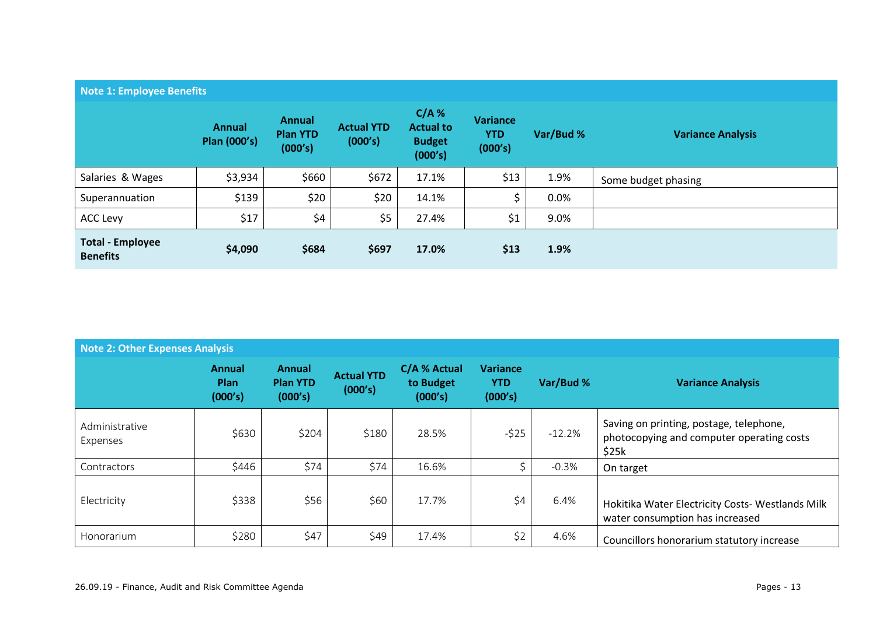| Note 1: Employee Benefits                  |                                      |                                             |                              |                                                         |                                          |           |                          |  |
|--------------------------------------------|--------------------------------------|---------------------------------------------|------------------------------|---------------------------------------------------------|------------------------------------------|-----------|--------------------------|--|
|                                            | <b>Annual</b><br><b>Plan (000's)</b> | <b>Annual</b><br><b>Plan YTD</b><br>(000's) | <b>Actual YTD</b><br>(000's) | $C/A$ %<br><b>Actual to</b><br><b>Budget</b><br>(000's) | <b>Variance</b><br><b>YTD</b><br>(000's) | Var/Bud % | <b>Variance Analysis</b> |  |
| Salaries & Wages                           | \$3,934                              | \$660                                       | \$672                        | 17.1%                                                   | \$13                                     | 1.9%      | Some budget phasing      |  |
| Superannuation                             | \$139                                | \$20                                        | \$20                         | 14.1%                                                   |                                          | 0.0%      |                          |  |
| <b>ACC Levy</b>                            | \$17                                 | \$4                                         | \$5                          | 27.4%                                                   | \$1                                      | 9.0%      |                          |  |
| <b>Total - Employee</b><br><b>Benefits</b> | \$4,090                              | \$684                                       | \$697                        | 17.0%                                                   | \$13                                     | 1.9%      |                          |  |

| Note 2: Other Expenses Analysis |                                  |                                             |                              |                                      |                                          |           |                                                                                               |
|---------------------------------|----------------------------------|---------------------------------------------|------------------------------|--------------------------------------|------------------------------------------|-----------|-----------------------------------------------------------------------------------------------|
|                                 | Annual<br><b>Plan</b><br>(000's) | <b>Annual</b><br><b>Plan YTD</b><br>(000's) | <b>Actual YTD</b><br>(000's) | C/A % Actual<br>to Budget<br>(000's) | <b>Variance</b><br><b>YTD</b><br>(000's) | Var/Bud % | <b>Variance Analysis</b>                                                                      |
| Administrative<br>Expenses      | \$630                            | \$204                                       | \$180                        | 28.5%                                | $-525$                                   | $-12.2%$  | Saving on printing, postage, telephone,<br>photocopying and computer operating costs<br>\$25k |
| Contractors                     | \$446                            | \$74                                        | \$74                         | 16.6%                                |                                          | $-0.3%$   | On target                                                                                     |
| Electricity                     | \$338                            | \$56                                        | \$60                         | 17.7%                                | \$4                                      | 6.4%      | Hokitika Water Electricity Costs- Westlands Milk<br>water consumption has increased           |
| Honorarium                      | \$280                            | \$47                                        | \$49                         | 17.4%                                | \$2                                      | 4.6%      | Councillors honorarium statutory increase                                                     |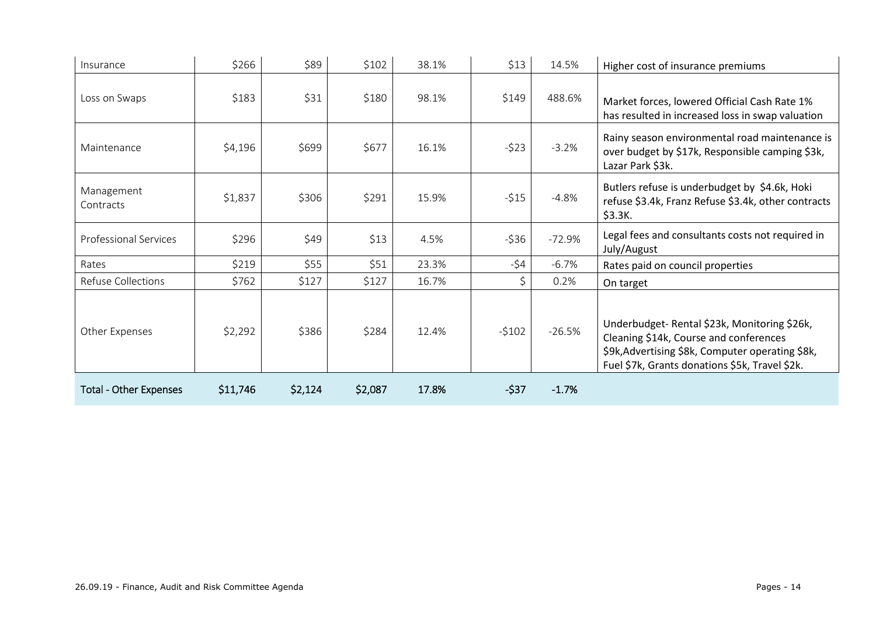| Insurance                     | \$266    | \$89    | \$102   | 38.1% | \$13    | 14.5%    | Higher cost of insurance premiums                                                                                                                                                           |
|-------------------------------|----------|---------|---------|-------|---------|----------|---------------------------------------------------------------------------------------------------------------------------------------------------------------------------------------------|
| Loss on Swaps                 | \$183    | \$31    | \$180   | 98.1% | \$149   | 488.6%   | Market forces, lowered Official Cash Rate 1%<br>has resulted in increased loss in swap valuation                                                                                            |
| Maintenance                   | \$4,196  | \$699   | \$677   | 16.1% | $-523$  | $-3.2%$  | Rainy season environmental road maintenance is<br>over budget by \$17k, Responsible camping \$3k,<br>Lazar Park \$3k.                                                                       |
| Management<br>Contracts       | \$1,837  | \$306   | \$291   | 15.9% | $-515$  | $-4.8%$  | Butlers refuse is underbudget by \$4.6k, Hoki<br>refuse \$3.4k, Franz Refuse \$3.4k, other contracts<br>\$3.3K.                                                                             |
| <b>Professional Services</b>  | \$296    | \$49    | \$13    | 4.5%  | $-536$  | $-72.9%$ | Legal fees and consultants costs not required in<br>July/August                                                                                                                             |
| Rates                         | \$219    | \$55    | \$51    | 23.3% | $-54$   | $-6.7%$  | Rates paid on council properties                                                                                                                                                            |
| Refuse Collections            | \$762    | \$127   | \$127   | 16.7% | Ś       | 0.2%     | On target                                                                                                                                                                                   |
| Other Expenses                | \$2,292  | \$386   | \$284   | 12.4% | $-5102$ | $-26.5%$ | Underbudget-Rental \$23k, Monitoring \$26k,<br>Cleaning \$14k, Course and conferences<br>\$9k, Advertising \$8k, Computer operating \$8k,<br>Fuel \$7k, Grants donations \$5k, Travel \$2k. |
| <b>Total - Other Expenses</b> | \$11,746 | \$2,124 | \$2,087 | 17.8% | $-537$  | $-1.7%$  |                                                                                                                                                                                             |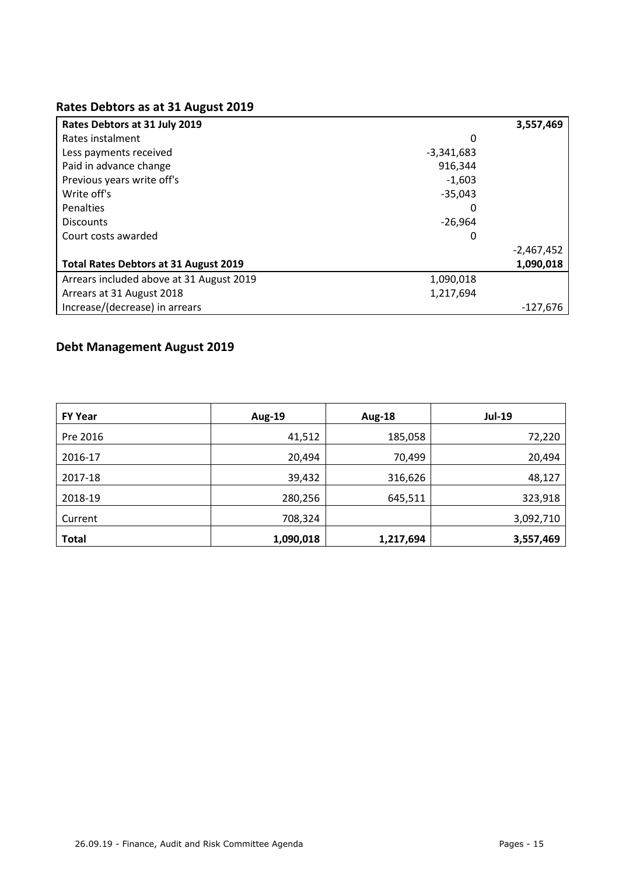#### **Rates Debtors as at 31 August 2019**

| Rates Debtors at 31 July 2019                |              | 3,557,469    |
|----------------------------------------------|--------------|--------------|
| Rates instalment                             | 0            |              |
| Less payments received                       | $-3,341,683$ |              |
| Paid in advance change                       | 916.344      |              |
| Previous years write off's                   | $-1.603$     |              |
| Write off's                                  | $-35,043$    |              |
| Penalties                                    | 0            |              |
| <b>Discounts</b>                             | $-26,964$    |              |
| Court costs awarded                          | 0            |              |
|                                              |              | $-2,467,452$ |
| <b>Total Rates Debtors at 31 August 2019</b> |              | 1,090,018    |
| Arrears included above at 31 August 2019     | 1,090,018    |              |
| Arrears at 31 August 2018                    | 1,217,694    |              |
| Increase/(decrease) in arrears               |              | $-127.676$   |

### **Debt Management August 2019**

| <b>FY Year</b> | <b>Aug-19</b> | <b>Aug-18</b> | <b>Jul-19</b> |
|----------------|---------------|---------------|---------------|
| Pre 2016       | 41,512        | 185,058       | 72,220        |
| 2016-17        | 20,494        | 70,499        | 20,494        |
| 2017-18        | 39,432        | 316,626       | 48,127        |
| 2018-19        | 280,256       | 645,511       | 323,918       |
| Current        | 708,324       |               | 3,092,710     |
| <b>Total</b>   | 1,090,018     | 1,217,694     | 3,557,469     |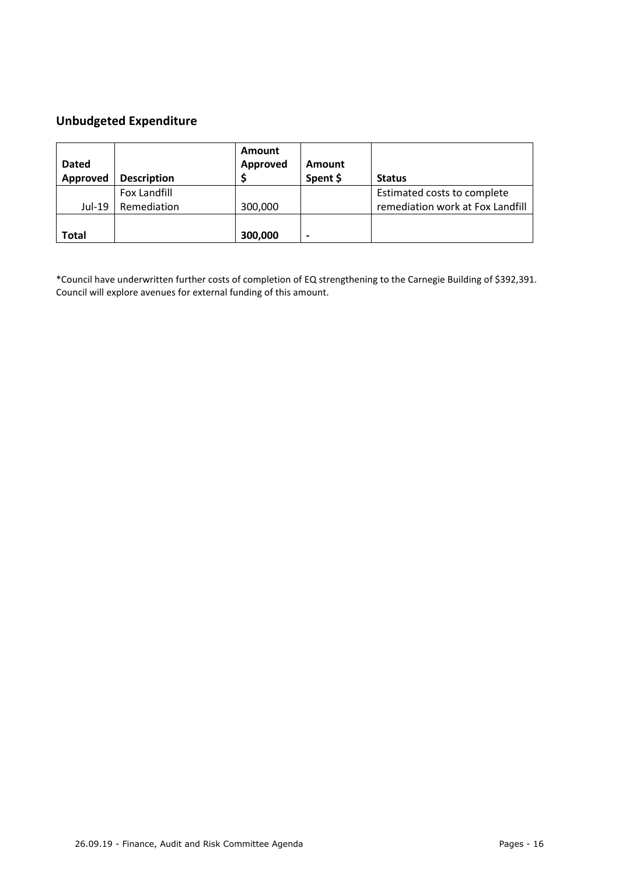#### **Unbudgeted Expenditure**

| <b>Dated</b><br>Approved | <b>Description</b> | Amount<br>Approved | Amount<br>Spent \$       | <b>Status</b>                    |
|--------------------------|--------------------|--------------------|--------------------------|----------------------------------|
|                          | Fox Landfill       |                    |                          | Estimated costs to complete      |
| Jul-19                   | Remediation        | 300,000            |                          | remediation work at Fox Landfill |
| Total                    |                    | 300,000            | $\overline{\phantom{0}}$ |                                  |

\*Council have underwritten further costs of completion of EQ strengthening to the Carnegie Building of \$392,391. Council will explore avenues for external funding of this amount.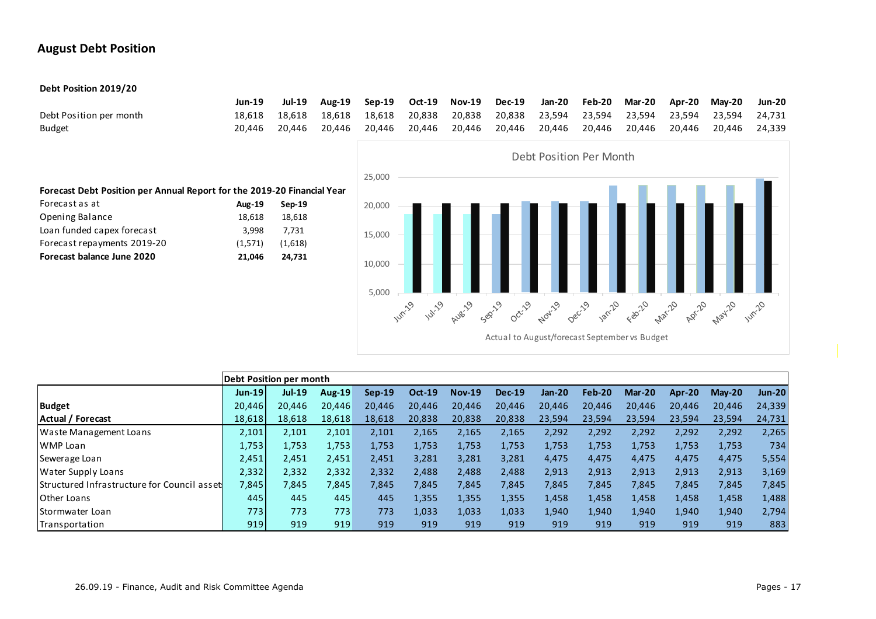#### **August Debt Position**

#### **Debt Position 2019/20**

|                         | Jun-19 |  |  |  |  | Jul-19 Aug-19 Sep-19 Oct-19 Nov-19 Dec-19 Jan-20 Feb-20 Mar-20 Apr-20 May-20 Jun-20        |  |  |
|-------------------------|--------|--|--|--|--|--------------------------------------------------------------------------------------------|--|--|
| Debt Position per month |        |  |  |  |  | 18,618 18,618 18,618 18,618 20,838 20,838 20,838 23,594 23,594 23,594 23,594 23,594 24,731 |  |  |
| <b>Budget</b>           |        |  |  |  |  | 20,446 20,446 20,446 20,446 20,446 20,446 20,446 20,446 20,446 20,446 20,446 20,446 24,339 |  |  |



|                                             |          | Debt Position per month |        |          |               |               |               |               |        |          |        |          |               |
|---------------------------------------------|----------|-------------------------|--------|----------|---------------|---------------|---------------|---------------|--------|----------|--------|----------|---------------|
|                                             | $Jun-19$ | <b>Jul-19</b>           | Aug-19 | $Sep-19$ | <b>Oct-19</b> | <b>Nov-19</b> | <b>Dec-19</b> | <b>Jan-20</b> | Feb-20 | $Mar-20$ | Apr-20 | $Mav-20$ | <b>Jun-20</b> |
| <b>Budget</b>                               | 20,446   | 20.446                  | 20.446 | 20,446   | 20,446        | 20,446        | 20,446        | 20.446        | 20,446 | 20,446   | 20,446 | 20,446   | 24,339        |
| Actual / Forecast                           | 18,618   | 18.618                  | 18.618 | 18.618   | 20.838        | 20,838        | 20,838        | 23.594        | 23,594 | 23.594   | 23.594 | 23,594   | 24,731        |
| Waste Management Loans                      | 2,101    | 2,101                   | 2,101  | 2,101    | 2,165         | 2,165         | 2,165         | 2,292         | 2,292  | 2,292    | 2,292  | 2,292    | 2,265         |
| WMP Loan                                    | 1,753    | 1,753                   | 1,753  | 1,753    | 1,753         | 1,753         | 1,753         | 1,753         | 1,753  | 1,753    | 1,753  | 1,753    | 734           |
| Sewerage Loan                               | 2,451    | 2,451                   | 2,451  | 2,451    | 3,281         | 3,281         | 3,281         | 4,475         | 4,475  | 4,475    | 4,475  | 4,475    | 5,554         |
| Water Supply Loans                          | 2,332    | 2,332                   | 2,332  | 2,332    | 2,488         | 2,488         | 2,488         | 2,913         | 2,913  | 2,913    | 2,913  | 2,913    | 3,169         |
| Structured Infrastructure for Council asset | 7,845    | 7,845                   | 7,845  | 7,845    | 7,845         | 7,845         | 7,845         | 7,845         | 7,845  | 7,845    | 7,845  | 7,845    | 7,845         |
| Other Loans                                 | 445 l    | 445                     | 445    | 445      | 1,355         | 1,355         | 1,355         | 1,458         | 1,458  | 1,458    | 1,458  | 1,458    | 1,488         |
| <b>Stormwater Loan</b>                      | 773      | 773                     | 773    | 773      | 1,033         | 1,033         | 1,033         | 1,940         | 1,940  | 1,940    | 1,940  | 1,940    | 2,794         |
| Transportation                              | 919      | 919                     | 919    | 919      | 919           | 919           | 919           | 919           | 919    | 919      | 919    | 919      | 883           |

#### Opening Balance 18,618 18,618 Loan funded capex forecast 3,998 7,731 Forecast repayments 2019-20 (1,571) (1,618)

**Forecast Debt Position per Annual Report for the 2019-20 Financial Year**

Forecast as at **Aug-19 Sep-19**

**Forecast balance June 2020 21,046 24,731**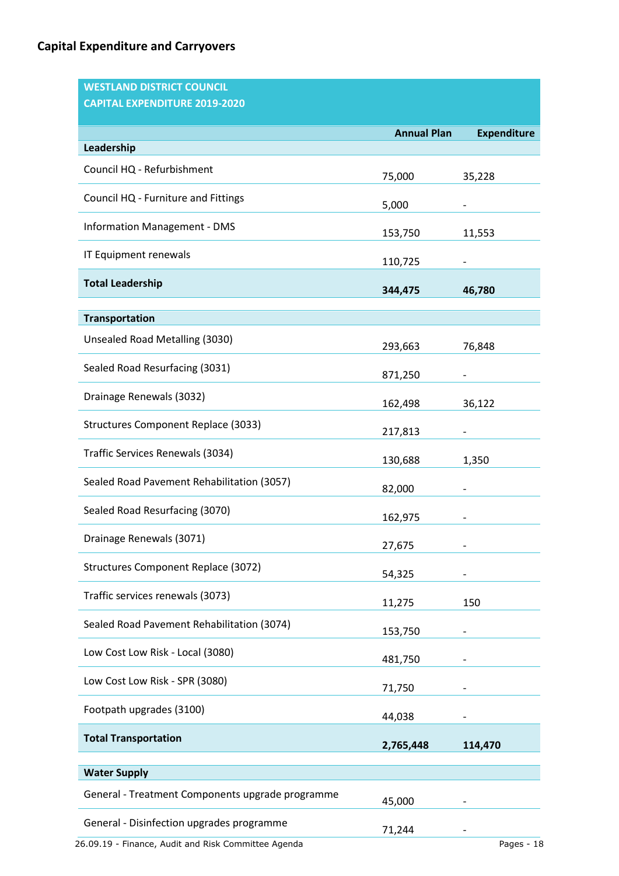| <b>WESTLAND DISTRICT COUNCIL</b>                 |                    |                    |
|--------------------------------------------------|--------------------|--------------------|
| <b>CAPITAL EXPENDITURE 2019-2020</b>             |                    |                    |
|                                                  | <b>Annual Plan</b> | <b>Expenditure</b> |
| Leadership                                       |                    |                    |
| Council HQ - Refurbishment                       | 75,000             | 35,228             |
| Council HQ - Furniture and Fittings              | 5,000              |                    |
| <b>Information Management - DMS</b>              | 153,750            | 11,553             |
| IT Equipment renewals                            | 110,725            |                    |
| <b>Total Leadership</b>                          | 344,475            | 46,780             |
| <b>Transportation</b>                            |                    |                    |
| Unsealed Road Metalling (3030)                   | 293,663            | 76,848             |
| Sealed Road Resurfacing (3031)                   | 871,250            |                    |
| Drainage Renewals (3032)                         | 162,498            | 36,122             |
| <b>Structures Component Replace (3033)</b>       | 217,813            |                    |
| Traffic Services Renewals (3034)                 | 130,688            | 1,350              |
| Sealed Road Pavement Rehabilitation (3057)       | 82,000             |                    |
| Sealed Road Resurfacing (3070)                   | 162,975            |                    |
| Drainage Renewals (3071)                         | 27,675             |                    |
| <b>Structures Component Replace (3072)</b>       | 54,325             |                    |
| Traffic services renewals (3073)                 | 11,275             | 150                |
| Sealed Road Pavement Rehabilitation (3074)       | 153,750            |                    |
| Low Cost Low Risk - Local (3080)                 | 481,750            |                    |
| Low Cost Low Risk - SPR (3080)                   | 71,750             |                    |
| Footpath upgrades (3100)                         | 44,038             |                    |
| <b>Total Transportation</b>                      | 2,765,448          | 114,470            |
| <b>Water Supply</b>                              |                    |                    |
| General - Treatment Components upgrade programme | 45,000             |                    |
| General - Disinfection upgrades programme        | 71,244             |                    |

26.09.19 - Finance, Audit and Risk Committee Agenda Pages - 18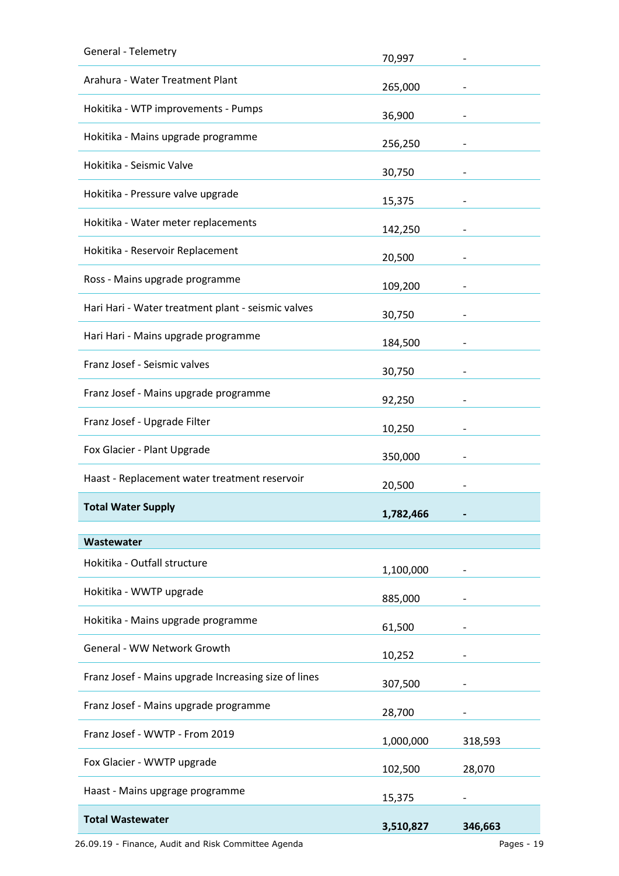| General - Telemetry                                  | 70,997            |         |
|------------------------------------------------------|-------------------|---------|
| Arahura - Water Treatment Plant                      | 265,000           |         |
| Hokitika - WTP improvements - Pumps                  | 36,900            |         |
| Hokitika - Mains upgrade programme                   | 256,250           |         |
| Hokitika - Seismic Valve                             | 30,750            |         |
| Hokitika - Pressure valve upgrade                    | 15,375            |         |
| Hokitika - Water meter replacements                  | 142,250           |         |
| Hokitika - Reservoir Replacement                     | 20,500            |         |
| Ross - Mains upgrade programme                       | 109,200           |         |
| Hari Hari - Water treatment plant - seismic valves   | 30,750            |         |
| Hari Hari - Mains upgrade programme                  | 184,500           |         |
| Franz Josef - Seismic valves                         | 30,750            |         |
| Franz Josef - Mains upgrade programme                | 92,250            |         |
| Franz Josef - Upgrade Filter                         | 10,250            |         |
|                                                      |                   |         |
| Fox Glacier - Plant Upgrade                          | 350,000           |         |
| Haast - Replacement water treatment reservoir        | 20,500            |         |
| <b>Total Water Supply</b>                            | 1,782,466         |         |
|                                                      |                   |         |
| Wastewater<br>Hokitika - Outfall structure           |                   |         |
| Hokitika - WWTP upgrade                              | 1,100,000         |         |
| Hokitika - Mains upgrade programme                   | 885,000           |         |
| General - WW Network Growth                          | 61,500            |         |
| Franz Josef - Mains upgrade Increasing size of lines | 10,252            |         |
| Franz Josef - Mains upgrade programme                | 307,500<br>28,700 |         |
| Franz Josef - WWTP - From 2019                       | 1,000,000         | 318,593 |
| Fox Glacier - WWTP upgrade                           | 102,500           | 28,070  |
| Haast - Mains upgrage programme                      | 15,375            |         |

26.09.19 - Finance, Audit and Risk Committee Agenda Pages - 19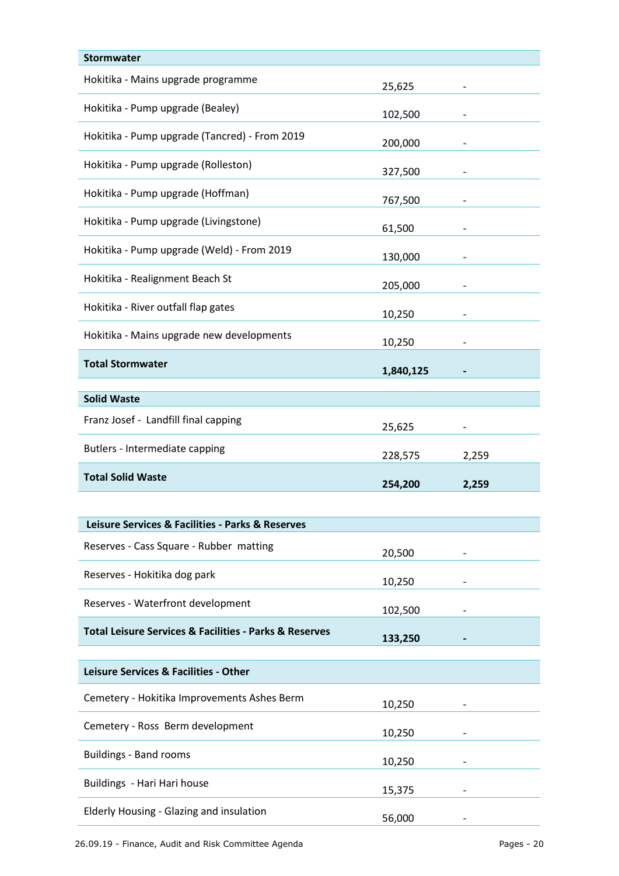| <b>Stormwater</b>                                                     |           |       |
|-----------------------------------------------------------------------|-----------|-------|
| Hokitika - Mains upgrade programme                                    | 25,625    |       |
| Hokitika - Pump upgrade (Bealey)                                      | 102,500   |       |
| Hokitika - Pump upgrade (Tancred) - From 2019                         | 200,000   |       |
| Hokitika - Pump upgrade (Rolleston)                                   | 327,500   |       |
| Hokitika - Pump upgrade (Hoffman)                                     | 767,500   |       |
| Hokitika - Pump upgrade (Livingstone)                                 | 61,500    |       |
| Hokitika - Pump upgrade (Weld) - From 2019                            | 130,000   |       |
| Hokitika - Realignment Beach St                                       | 205,000   |       |
| Hokitika - River outfall flap gates                                   | 10,250    |       |
| Hokitika - Mains upgrade new developments                             | 10,250    |       |
| <b>Total Stormwater</b>                                               | 1,840,125 |       |
|                                                                       |           |       |
| <b>Solid Waste</b>                                                    |           |       |
| Franz Josef - Landfill final capping                                  | 25,625    |       |
|                                                                       |           |       |
| Butlers - Intermediate capping                                        | 228,575   | 2,259 |
| <b>Total Solid Waste</b>                                              | 254,200   | 2,259 |
|                                                                       |           |       |
| Leisure Services & Facilities - Parks & Reserves                      |           |       |
| Reserves - Cass Square - Rubber matting                               | 20,500    |       |
| Reserves - Hokitika dog park                                          | 10,250    |       |
| Reserves - Waterfront development                                     | 102,500   |       |
| <b>Total Leisure Services &amp; Facilities - Parks &amp; Reserves</b> |           |       |
|                                                                       | 133,250   |       |
| Leisure Services & Facilities - Other                                 |           |       |
| Cemetery - Hokitika Improvements Ashes Berm                           | 10,250    |       |
| Cemetery - Ross Berm development                                      | 10,250    |       |
| <b>Buildings - Band rooms</b>                                         | 10,250    |       |
| Buildings - Hari Hari house                                           | 15,375    |       |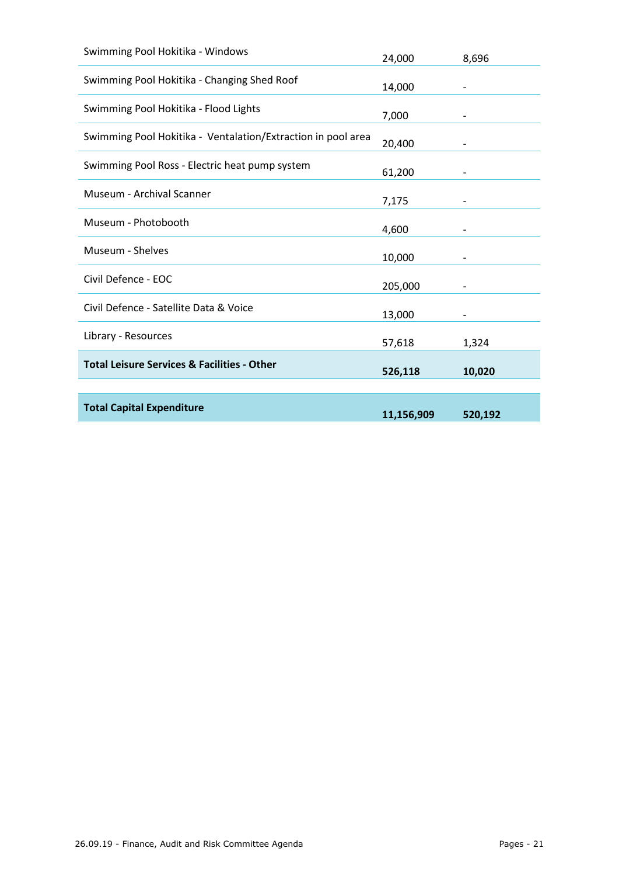| <b>Total Capital Expenditure</b>                             | 526,118 | 10,020 |
|--------------------------------------------------------------|---------|--------|
| <b>Total Leisure Services &amp; Facilities - Other</b>       |         |        |
| Library - Resources                                          | 57,618  | 1,324  |
| Civil Defence - Satellite Data & Voice                       | 13,000  |        |
| Civil Defence - EOC                                          | 205,000 | -      |
| Museum - Shelves                                             | 10,000  |        |
| Museum - Photobooth                                          | 4,600   |        |
| Museum - Archival Scanner                                    | 7,175   |        |
| Swimming Pool Ross - Electric heat pump system               | 61,200  |        |
| Swimming Pool Hokitika - Ventalation/Extraction in pool area | 20,400  |        |
| Swimming Pool Hokitika - Flood Lights                        | 7,000   |        |
| Swimming Pool Hokitika - Changing Shed Roof                  | 14,000  |        |
| Swimming Pool Hokitika - Windows                             | 24,000  | 8,696  |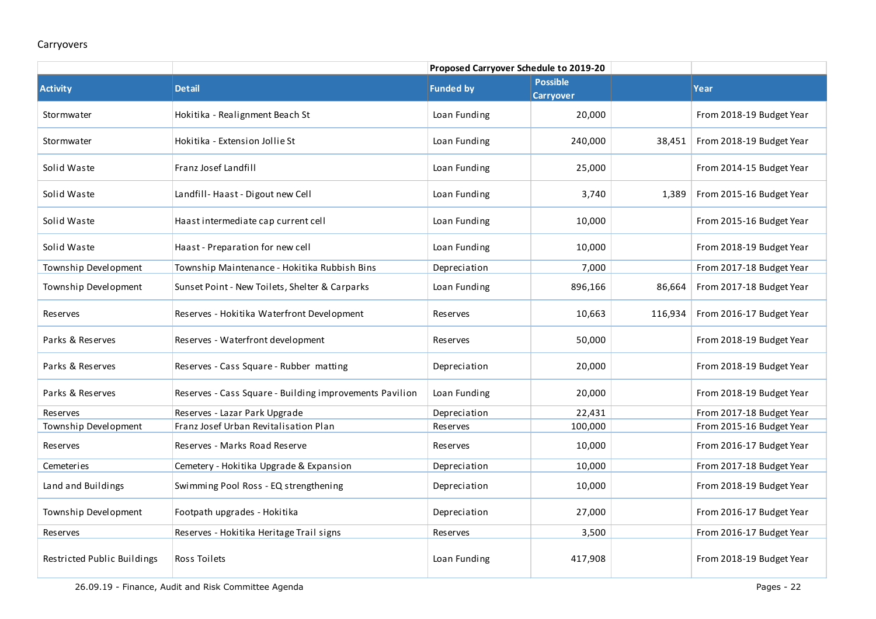#### Carryovers

| <b>Activity</b>             | <b>Detail</b>                                           | <b>Funded by</b> | <b>Possible</b><br><b>Carryover</b> |         | Year                     |
|-----------------------------|---------------------------------------------------------|------------------|-------------------------------------|---------|--------------------------|
| Stormwater                  | Hokitika - Realignment Beach St                         | Loan Funding     | 20,000                              |         | From 2018-19 Budget Year |
| Stormwater                  | Hokitika - Extension Jollie St                          | Loan Funding     | 240,000                             | 38,451  | From 2018-19 Budget Year |
| Solid Waste                 | Franz Josef Landfill                                    | Loan Funding     | 25,000                              |         | From 2014-15 Budget Year |
| Solid Waste                 | Landfill-Haast - Digout new Cell                        | Loan Funding     | 3,740                               | 1,389   | From 2015-16 Budget Year |
| Solid Waste                 | Haast intermediate cap current cell                     | Loan Funding     | 10,000                              |         | From 2015-16 Budget Year |
| Solid Waste                 | Haast - Preparation for new cell                        | Loan Funding     | 10,000                              |         | From 2018-19 Budget Year |
| Township Development        | Township Maintenance - Hokitika Rubbish Bins            | Depreciation     | 7,000                               |         | From 2017-18 Budget Year |
| Township Development        | Sunset Point - New Toilets, Shelter & Carparks          | Loan Funding     | 896,166                             | 86,664  | From 2017-18 Budget Year |
| Reserves                    | Reserves - Hokitika Waterfront Development              | Reserves         | 10,663                              | 116,934 | From 2016-17 Budget Year |
| Parks & Reserves            | Reserves - Waterfront development                       | <b>Reserves</b>  | 50,000                              |         | From 2018-19 Budget Year |
| Parks & Reserves            | Reserves - Cass Square - Rubber matting                 | Depreciation     | 20,000                              |         | From 2018-19 Budget Year |
| Parks & Reserves            | Reserves - Cass Square - Building improvements Pavilion | Loan Funding     | 20,000                              |         | From 2018-19 Budget Year |
| Reserves                    | Reserves - Lazar Park Upgrade                           | Depreciation     | 22,431                              |         | From 2017-18 Budget Year |
| Township Development        | Franz Josef Urban Revitalisation Plan                   | Reserves         | 100,000                             |         | From 2015-16 Budget Year |
| Reserves                    | Reserves - Marks Road Reserve                           | <b>Reserves</b>  | 10,000                              |         | From 2016-17 Budget Year |
| Cemeteries                  | Cemetery - Hokitika Upgrade & Expansion                 | Depreciation     | 10,000                              |         | From 2017-18 Budget Year |
| Land and Buildings          | Swimming Pool Ross - EQ strengthening                   | Depreciation     | 10,000                              |         | From 2018-19 Budget Year |
| Township Development        | Footpath upgrades - Hokitika                            | Depreciation     | 27,000                              |         | From 2016-17 Budget Year |
| Reserves                    | Reserves - Hokitika Heritage Trail signs                | Reserves         | 3,500                               |         | From 2016-17 Budget Year |
| Restricted Public Buildings | Ross Toilets                                            | Loan Funding     | 417,908                             |         | From 2018-19 Budget Year |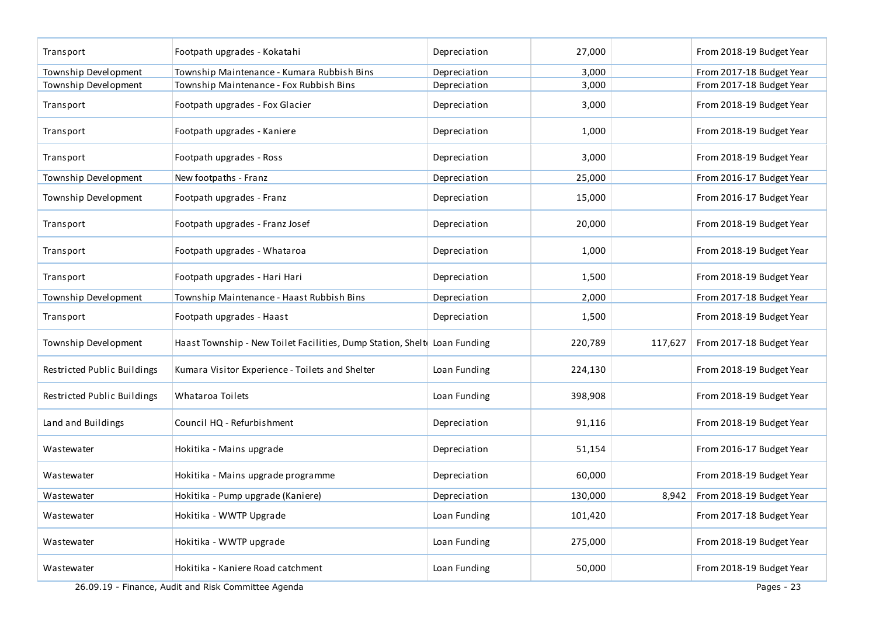| Transport                   | Footpath upgrades - Kokatahi                                             | Depreciation | 27,000  |         | From 2018-19 Budget Year |
|-----------------------------|--------------------------------------------------------------------------|--------------|---------|---------|--------------------------|
| Township Development        | Township Maintenance - Kumara Rubbish Bins                               | Depreciation | 3,000   |         | From 2017-18 Budget Year |
| Township Development        | Township Maintenance - Fox Rubbish Bins                                  | Depreciation | 3,000   |         | From 2017-18 Budget Year |
| Transport                   | Footpath upgrades - Fox Glacier                                          | Depreciation | 3,000   |         | From 2018-19 Budget Year |
| Transport                   | Footpath upgrades - Kaniere                                              | Depreciation | 1,000   |         | From 2018-19 Budget Year |
| Transport                   | Footpath upgrades - Ross                                                 | Depreciation | 3,000   |         | From 2018-19 Budget Year |
| Township Development        | New footpaths - Franz                                                    | Depreciation | 25,000  |         | From 2016-17 Budget Year |
| Township Development        | Footpath upgrades - Franz                                                | Depreciation | 15,000  |         | From 2016-17 Budget Year |
| Transport                   | Footpath upgrades - Franz Josef                                          | Depreciation | 20,000  |         | From 2018-19 Budget Year |
| Transport                   | Footpath upgrades - Whataroa                                             | Depreciation | 1,000   |         | From 2018-19 Budget Year |
| Transport                   | Footpath upgrades - Hari Hari                                            | Depreciation | 1,500   |         | From 2018-19 Budget Year |
| Township Development        | Township Maintenance - Haast Rubbish Bins                                | Depreciation | 2,000   |         | From 2017-18 Budget Year |
| Transport                   | Footpath upgrades - Haast                                                | Depreciation | 1,500   |         | From 2018-19 Budget Year |
| Township Development        | Haast Township - New Toilet Facilities, Dump Station, Shelt Loan Funding |              | 220,789 | 117,627 | From 2017-18 Budget Year |
| Restricted Public Buildings | Kumara Visitor Experience - Toilets and Shelter                          | Loan Funding | 224,130 |         | From 2018-19 Budget Year |
| Restricted Public Buildings | Whataroa Toilets                                                         | Loan Funding | 398,908 |         | From 2018-19 Budget Year |
| Land and Buildings          | Council HQ - Refurbishment                                               | Depreciation | 91,116  |         | From 2018-19 Budget Year |
| Wastewater                  | Hokitika - Mains upgrade                                                 | Depreciation | 51,154  |         | From 2016-17 Budget Year |
| Wastewater                  | Hokitika - Mains upgrade programme                                       | Depreciation | 60,000  |         | From 2018-19 Budget Year |
| Wastewater                  | Hokitika - Pump upgrade (Kaniere)                                        | Depreciation | 130,000 | 8,942   | From 2018-19 Budget Year |
| Wastewater                  | Hokitika - WWTP Upgrade                                                  | Loan Funding | 101,420 |         | From 2017-18 Budget Year |
| Wastewater                  | Hokitika - WWTP upgrade                                                  | Loan Funding | 275,000 |         | From 2018-19 Budget Year |
| Wastewater                  | Hokitika - Kaniere Road catchment                                        | Loan Funding | 50,000  |         | From 2018-19 Budget Year |
|                             | 26.09.19 - Finance, Audit and Risk Committee Agenda                      |              |         |         | Pages - 23               |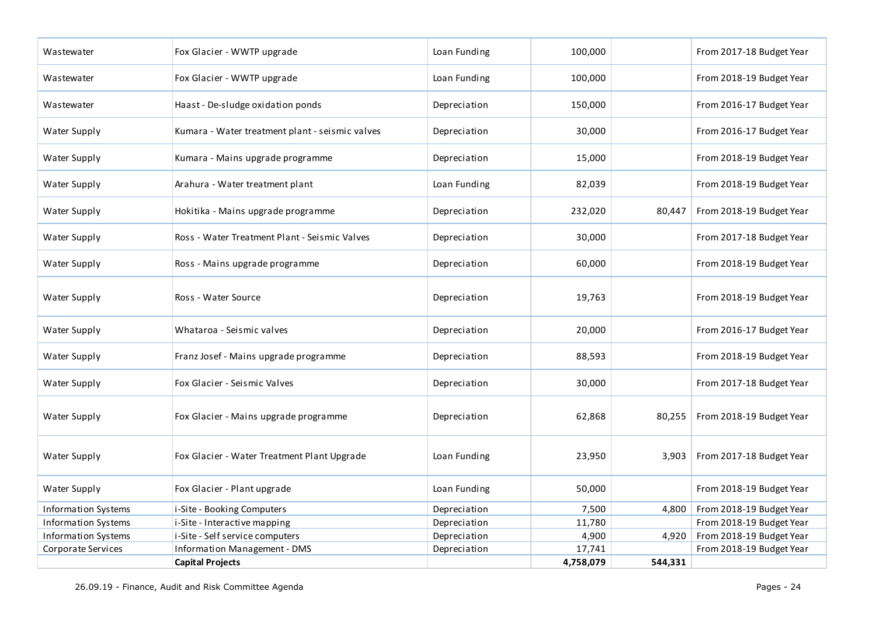| Wastewater                 | Fox Glacier - WWTP upgrade                      | Loan Funding | 100,000   |         | From 2017-18 Budget Year |
|----------------------------|-------------------------------------------------|--------------|-----------|---------|--------------------------|
| Wastewater                 | Fox Glacier - WWTP upgrade                      | Loan Funding | 100,000   |         | From 2018-19 Budget Year |
| Wastewater                 | Haast - De-sludge oxidation ponds               | Depreciation | 150,000   |         | From 2016-17 Budget Year |
| Water Supply               | Kumara - Water treatment plant - seismic valves | Depreciation | 30,000    |         | From 2016-17 Budget Year |
| Water Supply               | Kumara - Mains upgrade programme                | Depreciation | 15,000    |         | From 2018-19 Budget Year |
| Water Supply               | Arahura - Water treatment plant                 | Loan Funding | 82,039    |         | From 2018-19 Budget Year |
| Water Supply               | Hokitika - Mains upgrade programme              | Depreciation | 232,020   | 80,447  | From 2018-19 Budget Year |
| Water Supply               | Ross - Water Treatment Plant - Seismic Valves   | Depreciation | 30,000    |         | From 2017-18 Budget Year |
| Water Supply               | Ross - Mains upgrade programme                  | Depreciation | 60,000    |         | From 2018-19 Budget Year |
| Water Supply               | Ross - Water Source                             | Depreciation | 19,763    |         | From 2018-19 Budget Year |
| Water Supply               | Whataroa - Seismic valves                       | Depreciation | 20,000    |         | From 2016-17 Budget Year |
| Water Supply               | Franz Josef - Mains upgrade programme           | Depreciation | 88,593    |         | From 2018-19 Budget Year |
| Water Supply               | Fox Glacier - Seismic Valves                    | Depreciation | 30,000    |         | From 2017-18 Budget Year |
| Water Supply               | Fox Glacier - Mains upgrade programme           | Depreciation | 62,868    | 80,255  | From 2018-19 Budget Year |
| Water Supply               | Fox Glacier - Water Treatment Plant Upgrade     | Loan Funding | 23,950    | 3,903   | From 2017-18 Budget Year |
| Water Supply               | Fox Glacier - Plant upgrade                     | Loan Funding | 50,000    |         | From 2018-19 Budget Year |
| <b>Information Systems</b> | i-Site - Booking Computers                      | Depreciation | 7,500     | 4,800   | From 2018-19 Budget Year |
| <b>Information Systems</b> | i-Site - Interactive mapping                    | Depreciation | 11,780    |         | From 2018-19 Budget Year |
| <b>Information Systems</b> | i-Site - Self service computers                 | Depreciation | 4,900     | 4,920   | From 2018-19 Budget Year |
| Corporate Services         | Information Management - DMS                    | Depreciation | 17,741    |         | From 2018-19 Budget Year |
|                            | <b>Capital Projects</b>                         |              | 4,758,079 | 544,331 |                          |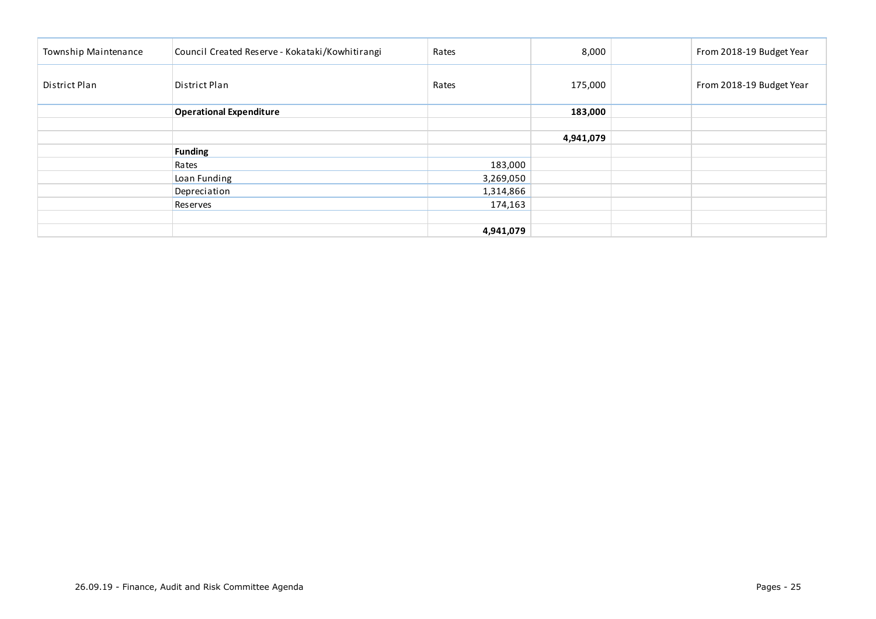| Township Maintenance | Council Created Reserve - Kokataki/Kowhitirangi | Rates     | 8,000     | From 2018-19 Budget Year |
|----------------------|-------------------------------------------------|-----------|-----------|--------------------------|
| District Plan        | District Plan                                   | Rates     | 175,000   | From 2018-19 Budget Year |
|                      | <b>Operational Expenditure</b>                  |           | 183,000   |                          |
|                      |                                                 |           |           |                          |
|                      |                                                 |           | 4,941,079 |                          |
|                      | <b>Funding</b>                                  |           |           |                          |
|                      | Rates                                           | 183,000   |           |                          |
|                      | Loan Funding                                    | 3,269,050 |           |                          |
|                      | Depreciation                                    | 1,314,866 |           |                          |
|                      | Reserves                                        | 174,163   |           |                          |
|                      |                                                 |           |           |                          |
|                      |                                                 | 4,941,079 |           |                          |